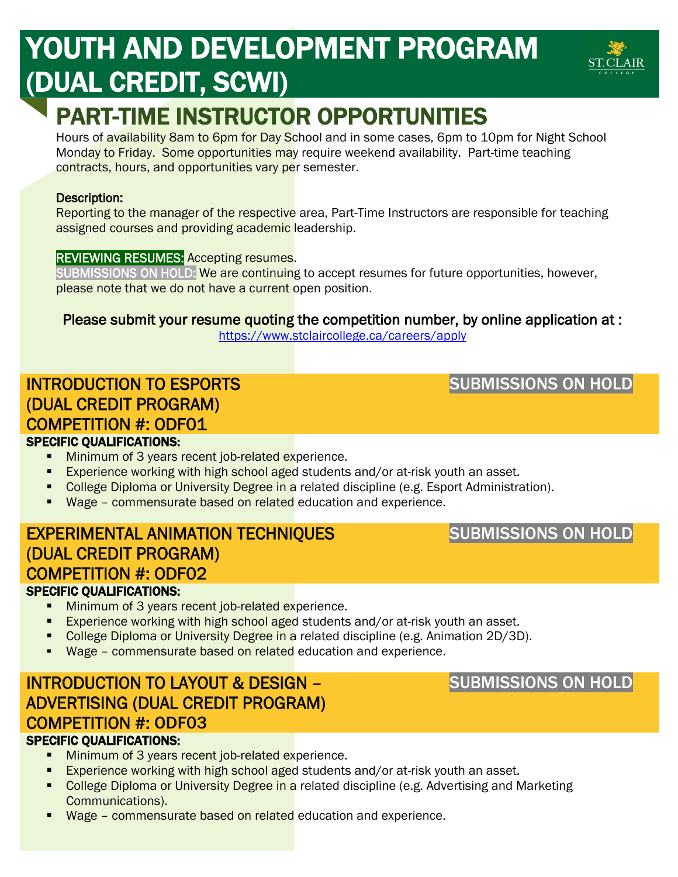# YOUTH AND DEVELOPMENT PROGRAM (DUAL CREDIT, SCWI)

# PART-TIME INSTRUCTOR OPPORTUNITIES

Hours of availability 8am to 6pm for Day School and in some cases, 6pm to 10pm for Night School Monday to Friday. Some opportunities may require weekend availability. Part-time teaching contracts, hours, and opportunities vary per semester.

#### Description:

Reporting to the manager of the respective area, Part-Time Instructors are responsible for teaching assigned courses and providing academic leadership.

#### REVIEWING RESUMES: Accepting resumes.

SUBMISSIONS ON HOLD: We are continuing to accept resumes for future opportunities, however, please note that we do not have a current open position.

### Please submit your resume quoting the competition number, by online application at :

<https://www.stclaircollege.ca/careers/apply>

# INTRODUCTION TO ESPORTS (DUAL CREDIT PROGRAM) COMPETITION #: ODF01

# SPECIFIC QUALIFICATIONS:

- **Minimum of 3 years recent job-related experience.**
- **Experience working with high school aged students and/or at-risk youth an asset.**
- College Diploma or University Degree in a related discipline (e.g. Esport Administration).
- Wage commensurate based on related education and experience.

### EXPERIMENTAL ANIMATION TECHNIQUES (DUAL CREDIT PROGRAM) COMPETITION #: ODF02 SPECIFIC QUALIFICATIONS:

- **Minimum of 3 years recent job-related experience.**
- **Experience working with high school aged students and/or at-risk youth an asset.**
- College Diploma or University Degree in a related discipline (e.g. Animation 2D/3D).
- **Wage commensurate based on related** education and experience.

# INTRODUCTION TO LAYOUT & DESIGN – ADVERTISING (DUAL CREDIT PROGRAM) COMPETITION #: ODF03

#### SPECIFIC QUALIFICATIONS:

- Minimum of 3 years recent job-related experience.
- **Experience working with high school aged students and/or at-risk youth an asset.**
- College Diploma or University Degree in a related discipline (e.g. Advertising and Marketing Communications).
- Wage commensurate based on related education and experience.

### SUBMISSIONS ON HOLD



## SUBMISSIONS ON HOLD

SUBMISSIONS ON HOLD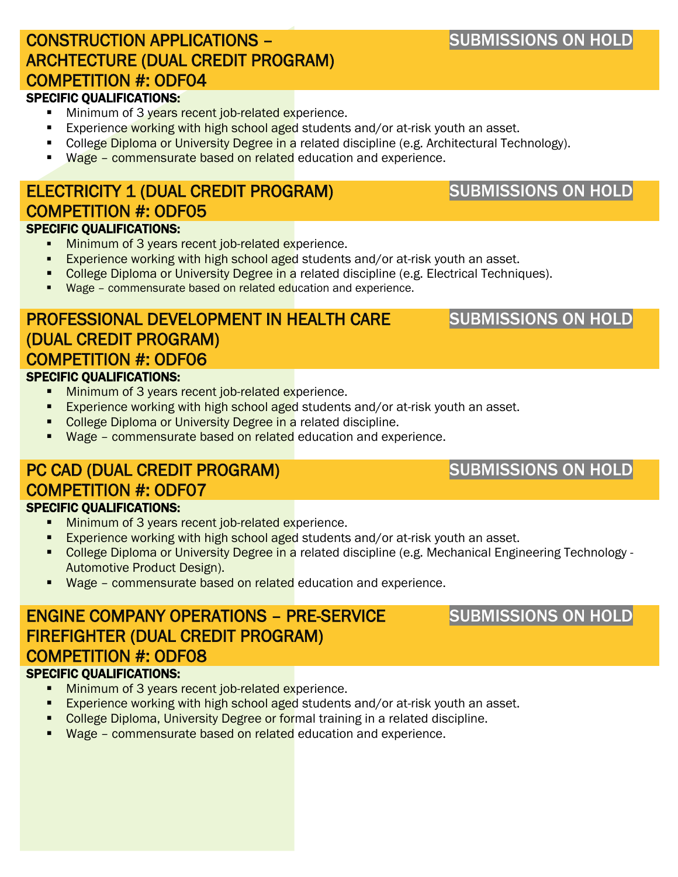# CONSTRUCTION APPLICATIONS – ARCHTECTURE (DUAL CREDIT PROGRAM) COMPETITION #: ODF04

#### SPECIFIC QUALIFICATIONS:

- Minimum of 3 years recent job-related experience.
- Experience working with high school aged students and/or at-risk youth an asset.
- College Diploma or University Degree in a related discipline (e.g. Architectural Technology).
- Wage commensurate based on related education and experience.

### ELECTRICITY 1 (DUAL CREDIT PROGRAM) COMPETITION #: ODF05 SPECIFIC QUALIFICATIONS:

- **Minimum of 3 years recent job-related experience.**
- **Experience working with high school aged students and/or at-risk youth an asset.**
- College Diploma or University Degree in a related discipline (e.g. Electrical Techniques).
- Wage commensurate based on related education and experience.

### PROFESSIONAL DEVELOPMENT IN HEALTH CARE (DUAL CREDIT PROGRAM) COMPETITION #: ODF06 SPECIFIC QUALIFICATIONS:

- **Minimum of 3 years recent job-related experience.**
- **Experience working with high school aged students and/or at-risk youth an asset.**
- College Diploma or University Degree in a related discipline.
- Wage commensurate based on related education and experience.

#### PC CAD (DUAL CREDIT PROGRAM) COMPETITION #: ODF07 SPECIFIC QUALIFICATIONS:

- **Minimum of 3 years recent job-related experience.**
- **Experience working with high school aged students and/or at-risk youth an asset.**
- College Diploma or University Degree in a related discipline (e.g. Mechanical Engineering Technology -Automotive Product Design).
- **Wage commensurate based on related** education and experience.

# ENGINE COMPANY OPERATIONS – PRE-SERVICE FIREFIGHTER (DUAL CREDIT PROGRAM) COMPETITION #: ODF08

#### SPECIFIC QUALIFICATIONS:

- **Minimum of 3 years recent job-related experience.**
- **Experience working with high school aged students and/or at-risk youth an asset.**
- College Diploma, University Degree or formal training in a related discipline.
- Wage commensurate based on related education and experience.

# SUBMISSIONS ON HOLD

SUBMISSIONS ON HOLD

# SUBMISSIONS ON HOLD

# SUBMISSIONS ON HOLD

# SUBMISSIONS ON HOLD